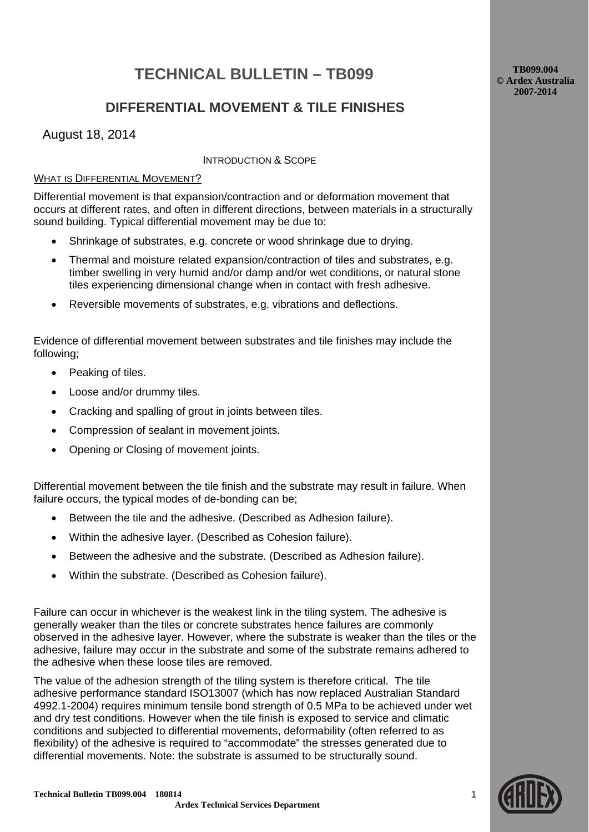# **TECHNICAL BULLETIN – TB099**

**TB099.004 © Ardex Australia 2007-2014**

## **DIFFERENTIAL MOVEMENT & TILE FINISHES**

August 18, 2014

### INTRODUCTION & SCOPE

## WHAT IS DIFFERENTIAL MOVEMENT?

Differential movement is that expansion/contraction and or deformation movement that occurs at different rates, and often in different directions, between materials in a structurally sound building. Typical differential movement may be due to:

- Shrinkage of substrates, e.g. concrete or wood shrinkage due to drying.
- Thermal and moisture related expansion/contraction of tiles and substrates, e.g. timber swelling in very humid and/or damp and/or wet conditions, or natural stone tiles experiencing dimensional change when in contact with fresh adhesive.
- Reversible movements of substrates, e.g. vibrations and deflections.

Evidence of differential movement between substrates and tile finishes may include the following;

- Peaking of tiles.
- Loose and/or drummy tiles.
- Cracking and spalling of grout in joints between tiles.
- Compression of sealant in movement joints.
- Opening or Closing of movement joints.

Differential movement between the tile finish and the substrate may result in failure. When failure occurs, the typical modes of de-bonding can be;

- Between the tile and the adhesive. (Described as Adhesion failure).
- Within the adhesive layer. (Described as Cohesion failure).
- Between the adhesive and the substrate. (Described as Adhesion failure).
- Within the substrate. (Described as Cohesion failure).

Failure can occur in whichever is the weakest link in the tiling system. The adhesive is generally weaker than the tiles or concrete substrates hence failures are commonly observed in the adhesive layer. However, where the substrate is weaker than the tiles or the adhesive, failure may occur in the substrate and some of the substrate remains adhered to the adhesive when these loose tiles are removed.

The value of the adhesion strength of the tiling system is therefore critical. The tile adhesive performance standard ISO13007 (which has now replaced Australian Standard 4992.1-2004) requires minimum tensile bond strength of 0.5 MPa to be achieved under wet and dry test conditions. However when the tile finish is exposed to service and climatic conditions and subjected to differential movements, deformability (often referred to as flexibility) of the adhesive is required to "accommodate" the stresses generated due to differential movements. Note: the substrate is assumed to be structurally sound.



**1**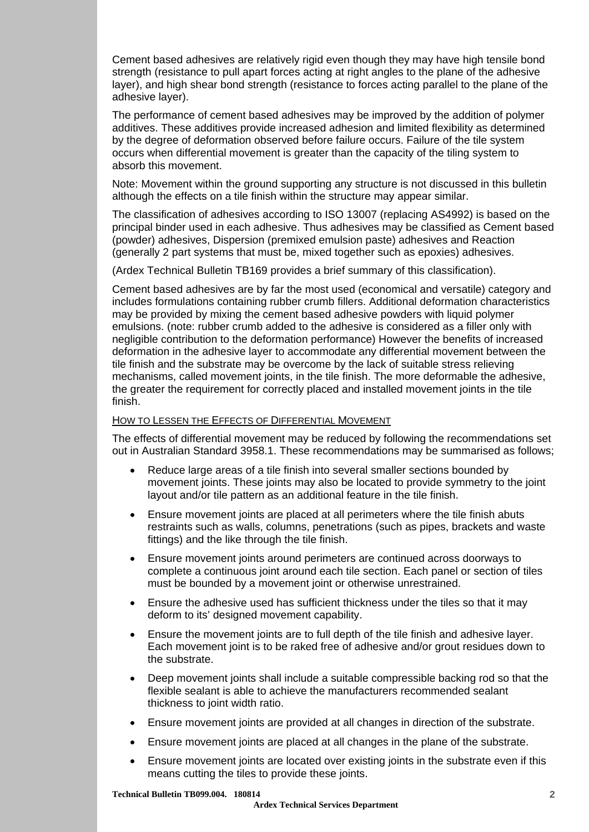Cement based adhesives are relatively rigid even though they may have high tensile bond strength (resistance to pull apart forces acting at right angles to the plane of the adhesive layer), and high shear bond strength (resistance to forces acting parallel to the plane of the adhesive layer).

The performance of cement based adhesives may be improved by the addition of polymer additives. These additives provide increased adhesion and limited flexibility as determined by the degree of deformation observed before failure occurs. Failure of the tile system occurs when differential movement is greater than the capacity of the tiling system to absorb this movement.

Note: Movement within the ground supporting any structure is not discussed in this bulletin although the effects on a tile finish within the structure may appear similar.

The classification of adhesives according to ISO 13007 (replacing AS4992) is based on the principal binder used in each adhesive. Thus adhesives may be classified as Cement based (powder) adhesives, Dispersion (premixed emulsion paste) adhesives and Reaction (generally 2 part systems that must be, mixed together such as epoxies) adhesives.

(Ardex Technical Bulletin TB169 provides a brief summary of this classification).

Cement based adhesives are by far the most used (economical and versatile) category and includes formulations containing rubber crumb fillers. Additional deformation characteristics may be provided by mixing the cement based adhesive powders with liquid polymer emulsions. (note: rubber crumb added to the adhesive is considered as a filler only with negligible contribution to the deformation performance) However the benefits of increased deformation in the adhesive layer to accommodate any differential movement between the tile finish and the substrate may be overcome by the lack of suitable stress relieving mechanisms, called movement joints, in the tile finish. The more deformable the adhesive, the greater the requirement for correctly placed and installed movement joints in the tile finish.

#### HOW TO LESSEN THE EFFECTS OF DIFFERENTIAL MOVEMENT

The effects of differential movement may be reduced by following the recommendations set out in Australian Standard 3958.1. These recommendations may be summarised as follows;

- Reduce large areas of a tile finish into several smaller sections bounded by movement joints. These joints may also be located to provide symmetry to the joint layout and/or tile pattern as an additional feature in the tile finish.
- Ensure movement joints are placed at all perimeters where the tile finish abuts restraints such as walls, columns, penetrations (such as pipes, brackets and waste fittings) and the like through the tile finish.
- Ensure movement joints around perimeters are continued across doorways to complete a continuous joint around each tile section. Each panel or section of tiles must be bounded by a movement joint or otherwise unrestrained.
- Ensure the adhesive used has sufficient thickness under the tiles so that it may deform to its' designed movement capability.
- Ensure the movement joints are to full depth of the tile finish and adhesive layer. Each movement joint is to be raked free of adhesive and/or grout residues down to the substrate.
- Deep movement joints shall include a suitable compressible backing rod so that the flexible sealant is able to achieve the manufacturers recommended sealant thickness to joint width ratio.
- Ensure movement joints are provided at all changes in direction of the substrate.
- Ensure movement joints are placed at all changes in the plane of the substrate.
- Ensure movement joints are located over existing joints in the substrate even if this means cutting the tiles to provide these joints.